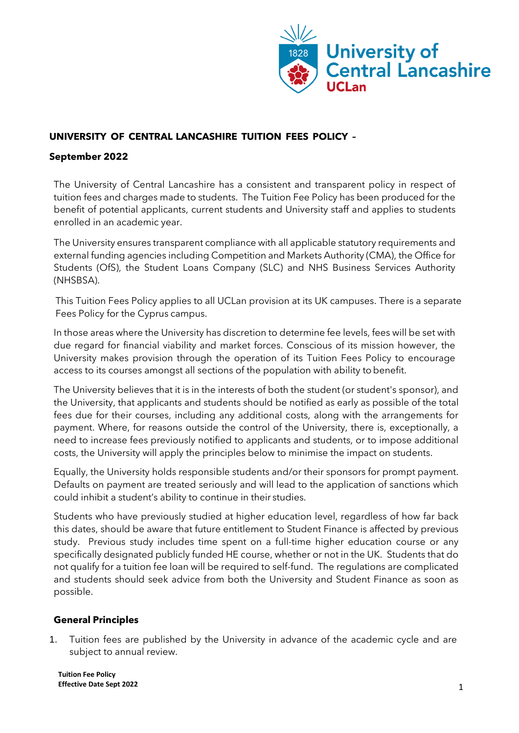

# **UNIVERSITY OF CENTRAL LANCASHIRE TUITION FEES POLICY –**

### **September 2022**

The University of Central Lancashire has a consistent and transparent policy in respect of tuition fees and charges made to students. The Tuition Fee Policy has been produced for the benefit of potential applicants, current students and University staff and applies to students enrolled in an academic year.

The University ensures transparent compliance with all applicable statutory requirements and external funding agencies including Competition and Markets Authority (CMA), the Office for Students (OfS), the Student Loans Company (SLC) and NHS Business Services Authority (NHSBSA).

This Tuition Fees Policy applies to all UCLan provision at its UK campuses. There is a separate Fees Policy for the Cyprus campus.

In those areas where the University has discretion to determine fee levels, fees will be set with due regard for financial viability and market forces. Conscious of its mission however, the University makes provision through the operation of its Tuition Fees Policy to encourage access to its courses amongst all sections of the population with ability to benefit.

The University believes that it is in the interests of both the student (or student's sponsor), and the University, that applicants and students should be notified as early as possible of the total fees due for their courses, including any additional costs, along with the arrangements for payment. Where, for reasons outside the control of the University, there is, exceptionally, a need to increase fees previously notified to applicants and students, or to impose additional costs, the University will apply the principles below to minimise the impact on students.

Equally, the University holds responsible students and/or their sponsors for prompt payment. Defaults on payment are treated seriously and will lead to the application of sanctions which could inhibit a student's ability to continue in their studies.

Students who have previously studied at higher education level, regardless of how far back this dates, should be aware that future entitlement to Student Finance is affected by previous study. Previous study includes time spent on a full-time higher education course or any specifically designated publicly funded HE course, whether or not in the UK. Students that do not qualify for a tuition fee loan will be required to self-fund. The regulations are complicated and students should seek advice from both the University and Student Finance as soon as possible.

## **General Principles**

1. Tuition fees are published by the University in advance of the academic cycle and are subject to annual review.

**Tuition Fee Policy Effective Date Sept 2022** 1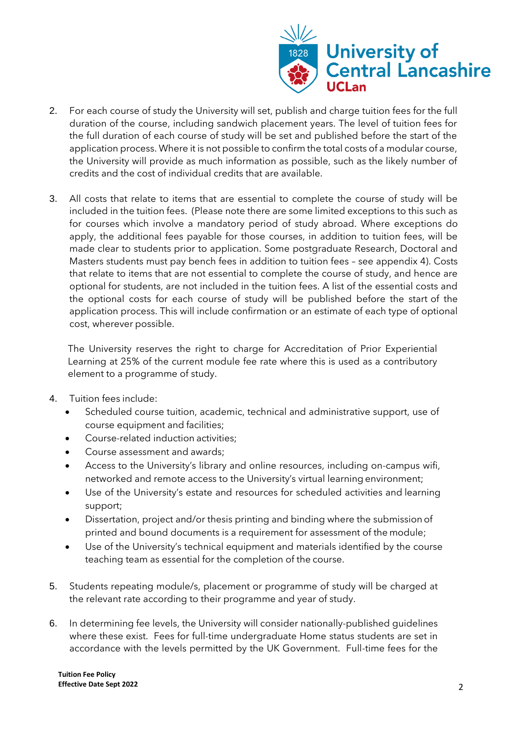

- 2. For each course of study the University will set, publish and charge tuition fees for the full duration of the course, including sandwich placement years. The level of tuition fees for the full duration of each course of study will be set and published before the start of the application process. Where it is not possible to confirm the total costs of a modular course, the University will provide as much information as possible, such as the likely number of credits and the cost of individual credits that are available.
- 3. All costs that relate to items that are essential to complete the course of study will be included in the tuition fees. (Please note there are some limited exceptions to this such as for courses which involve a mandatory period of study abroad. Where exceptions do apply, the additional fees payable for those courses, in addition to tuition fees, will be made clear to students prior to application. Some postgraduate Research, Doctoral and Masters students must pay bench fees in addition to tuition fees – see appendix 4). Costs that relate to items that are not essential to complete the course of study, and hence are optional for students, are not included in the tuition fees. A list of the essential costs and the optional costs for each course of study will be published before the start of the application process. This will include confirmation or an estimate of each type of optional cost, wherever possible.

The University reserves the right to charge for Accreditation of Prior Experiential Learning at 25% of the current module fee rate where this is used as a contributory element to a programme of study.

- 4. Tuition fees include:
	- Scheduled course tuition, academic, technical and administrative support, use of course equipment and facilities;
	- Course-related induction activities;
	- Course assessment and awards;
	- Access to the University's library and online resources, including on-campus wifi, networked and remote access to the University's virtual learning environment;
	- Use of the University's estate and resources for scheduled activities and learning support;
	- Dissertation, project and/or thesis printing and binding where the submission of printed and bound documents is a requirement for assessment of the module;
	- Use of the University's technical equipment and materials identified by the course teaching team as essential for the completion of the course.
- 5. Students repeating module/s, placement or programme of study will be charged at the relevant rate according to their programme and year of study.
- 6. In determining fee levels, the University will consider nationally-published guidelines where these exist. Fees for full-time undergraduate Home status students are set in accordance with the levels permitted by the UK Government. Full-time fees for the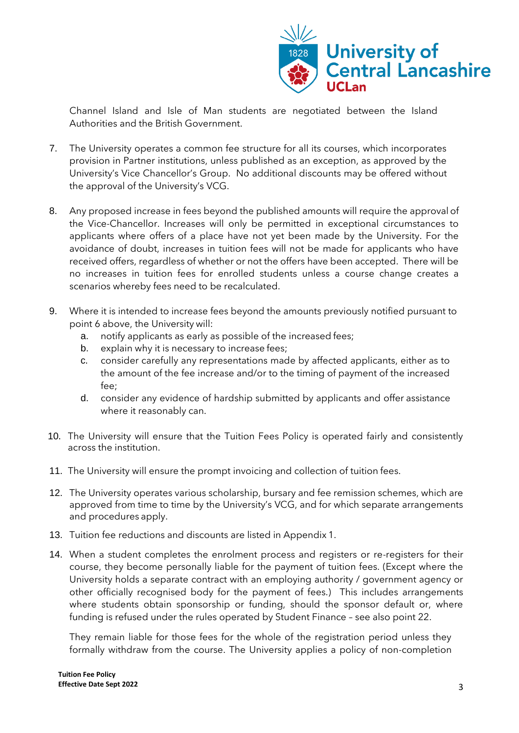

Channel Island and Isle of Man students are negotiated between the Island Authorities and the British Government.

- 7. The University operates a common fee structure for all its courses, which incorporates provision in Partner institutions, unless published as an exception, as approved by the University's Vice Chancellor's Group. No additional discounts may be offered without the approval of the University's VCG.
- 8. Any proposed increase in fees beyond the published amounts will require the approval of the Vice-Chancellor. Increases will only be permitted in exceptional circumstances to applicants where offers of a place have not yet been made by the University. For the avoidance of doubt, increases in tuition fees will not be made for applicants who have received offers, regardless of whether or not the offers have been accepted. There will be no increases in tuition fees for enrolled students unless a course change creates a scenarios whereby fees need to be recalculated.
- 9. Where it is intended to increase fees beyond the amounts previously notified pursuant to point 6 above, the University will:
	- a. notify applicants as early as possible of the increased fees;
	- b. explain why it is necessary to increase fees;
	- c. consider carefully any representations made by affected applicants, either as to the amount of the fee increase and/or to the timing of payment of the increased fee;
	- d. consider any evidence of hardship submitted by applicants and offer assistance where it reasonably can.
- 10. The University will ensure that the Tuition Fees Policy is operated fairly and consistently across the institution.
- 11. The University will ensure the prompt invoicing and collection of tuition fees.
- 12. The University operates various scholarship, bursary and fee remission schemes, which are approved from time to time by the University's VCG, and for which separate arrangements and procedures apply.
- 13. Tuition fee reductions and discounts are listed in Appendix 1.
- 14. When a student completes the enrolment process and registers or re-registers for their course, they become personally liable for the payment of tuition fees. (Except where the University holds a separate contract with an employing authority / government agency or other officially recognised body for the payment of fees.) This includes arrangements where students obtain sponsorship or funding, should the sponsor default or, where funding is refused under the rules operated by Student Finance – see also point 22.

They remain liable for those fees for the whole of the registration period unless they formally withdraw from the course. The University applies a policy of non-completion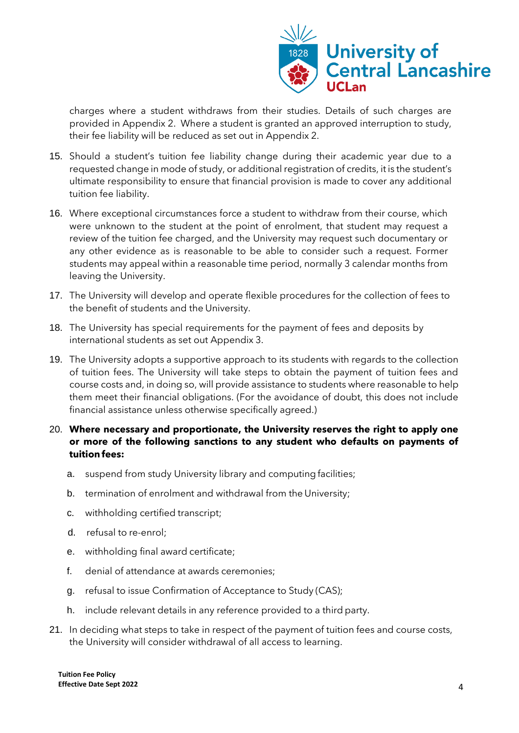

charges where a student withdraws from their studies. Details of such charges are provided in Appendix 2. Where a student is granted an approved interruption to study, their fee liability will be reduced as set out in Appendix 2.

- 15. Should a student's tuition fee liability change during their academic year due to a requested change in mode of study, or additional registration of credits, it is the student's ultimate responsibility to ensure that financial provision is made to cover any additional tuition fee liability.
- 16. Where exceptional circumstances force a student to withdraw from their course, which were unknown to the student at the point of enrolment, that student may request a review of the tuition fee charged, and the University may request such documentary or any other evidence as is reasonable to be able to consider such a request. Former students may appeal within a reasonable time period, normally 3 calendar months from leaving the University.
- 17. The University will develop and operate flexible procedures for the collection of fees to the benefit of students and the University.
- 18. The University has special requirements for the payment of fees and deposits by international students as set out Appendix 3.
- 19. The University adopts a supportive approach to its students with regards to the collection of tuition fees. The University will take steps to obtain the payment of tuition fees and course costs and, in doing so, will provide assistance to students where reasonable to help them meet their financial obligations. (For the avoidance of doubt, this does not include financial assistance unless otherwise specifically agreed.)
- 20. **Where necessary and proportionate, the University reserves the right to apply one or more of the following sanctions to any student who defaults on payments of tuition fees:**
	- a. suspend from study University library and computing facilities;
	- b. termination of enrolment and withdrawal from the University;
	- c. withholding certified transcript;
	- d. refusal to re-enrol;
	- e. withholding final award certificate;
	- f. denial of attendance at awards ceremonies;
	- g. refusal to issue Confirmation of Acceptance to Study (CAS);
	- h. include relevant details in any reference provided to a third party.
- 21. In deciding what steps to take in respect of the payment of tuition fees and course costs, the University will consider withdrawal of all access to learning.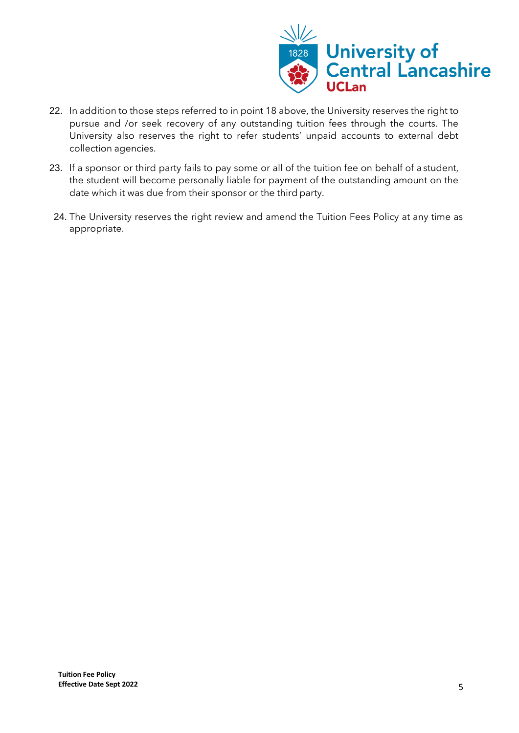

- 22. In addition to those steps referred to in point 18 above, the University reserves the right to pursue and /or seek recovery of any outstanding tuition fees through the courts. The University also reserves the right to refer students' unpaid accounts to external debt collection agencies.
- 23. If a sponsor or third party fails to pay some or all of the tuition fee on behalf of a student, the student will become personally liable for payment of the outstanding amount on the date which it was due from their sponsor or the third party.
- 24. The University reserves the right review and amend the Tuition Fees Policy at any time as appropriate.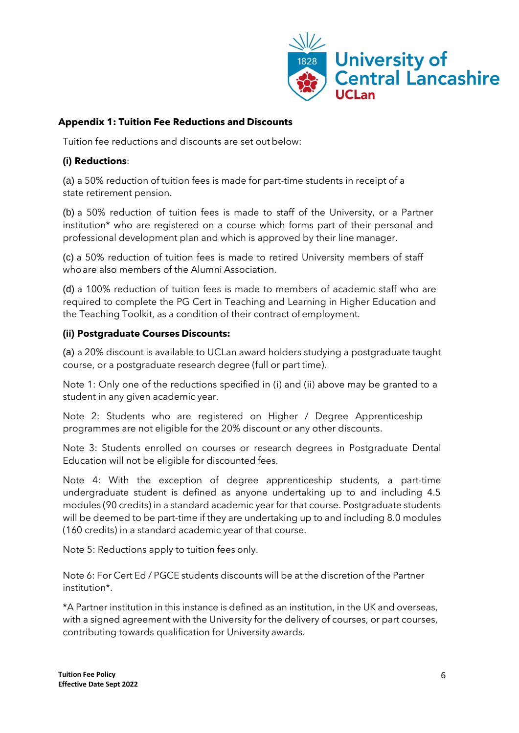

## **Appendix 1: Tuition Fee Reductions and Discounts**

Tuition fee reductions and discounts are set out below:

### **(i) Reductions**:

(a) a 50% reduction of tuition fees is made for part-time students in receipt of a state retirement pension.

(b) a 50% reduction of tuition fees is made to staff of the University, or a Partner institution\* who are registered on a course which forms part of their personal and professional development plan and which is approved by their line manager.

(c) a 50% reduction of tuition fees is made to retired University members of staff whoare also members of the Alumni Association.

(d) a 100% reduction of tuition fees is made to members of academic staff who are required to complete the PG Cert in Teaching and Learning in Higher Education and the Teaching Toolkit, as a condition of their contract of employment.

### **(ii) Postgraduate Courses Discounts:**

(a) a 20% discount is available to UCLan award holders studying a postgraduate taught course, or a postgraduate research degree (full or part time).

Note 1: Only one of the reductions specified in (i) and (ii) above may be granted to a student in any given academic year.

Note 2: Students who are registered on Higher / Degree Apprenticeship programmes are not eligible for the 20% discount or any other discounts.

Note 3: Students enrolled on courses or research degrees in Postgraduate Dental Education will not be eligible for discounted fees.

Note 4: With the exception of degree apprenticeship students, a part-time undergraduate student is defined as anyone undertaking up to and including 4.5 modules (90 credits) in a standard academic year for that course. Postgraduate students will be deemed to be part-time if they are undertaking up to and including 8.0 modules (160 credits) in a standard academic year of that course.

Note 5: Reductions apply to tuition fees only.

Note 6: For Cert Ed / PGCE students discounts will be at the discretion of the Partner institution\*.

\*A Partner institution in this instance is defined as an institution, in the UK and overseas, with a signed agreement with the University for the delivery of courses, or part courses, contributing towards qualification for University awards.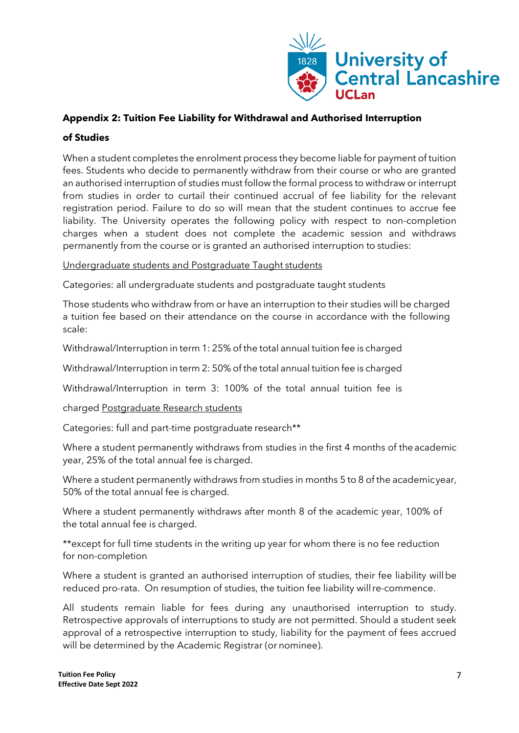

## **Appendix 2: Tuition Fee Liability for Withdrawal and Authorised Interruption**

### **of Studies**

When a student completes the enrolment process they become liable for payment of tuition fees. Students who decide to permanently withdraw from their course or who are granted an authorised interruption of studies must follow the formal process to withdraw or interrupt from studies in order to curtail their continued accrual of fee liability for the relevant registration period. Failure to do so will mean that the student continues to accrue fee liability. The University operates the following policy with respect to non-completion charges when a student does not complete the academic session and withdraws permanently from the course or is granted an authorised interruption to studies:

Undergraduate students and Postgraduate Taught students

Categories: all undergraduate students and postgraduate taught students

Those students who withdraw from or have an interruption to their studies will be charged a tuition fee based on their attendance on the course in accordance with the following scale:

Withdrawal/Interruption in term 1: 25% of the total annual tuition fee is charged

Withdrawal/Interruption in term 2: 50% of the total annual tuition fee is charged

Withdrawal/Interruption in term 3: 100% of the total annual tuition fee is

charged Postgraduate Research students

Categories: full and part-time postgraduate research\*\*

Where a student permanently withdraws from studies in the first 4 months of the academic year, 25% of the total annual fee is charged.

Where a student permanently withdraws from studies in months 5 to 8 of the academicyear, 50% of the total annual fee is charged.

Where a student permanently withdraws after month 8 of the academic year, 100% of the total annual fee is charged.

\*\*except for full time students in the writing up year for whom there is no fee reduction for non-completion

Where a student is granted an authorised interruption of studies, their fee liability willbe reduced pro-rata. On resumption of studies, the tuition fee liability willre-commence.

All students remain liable for fees during any unauthorised interruption to study. Retrospective approvals of interruptions to study are not permitted. Should a student seek approval of a retrospective interruption to study, liability for the payment of fees accrued will be determined by the Academic Registrar (or nominee).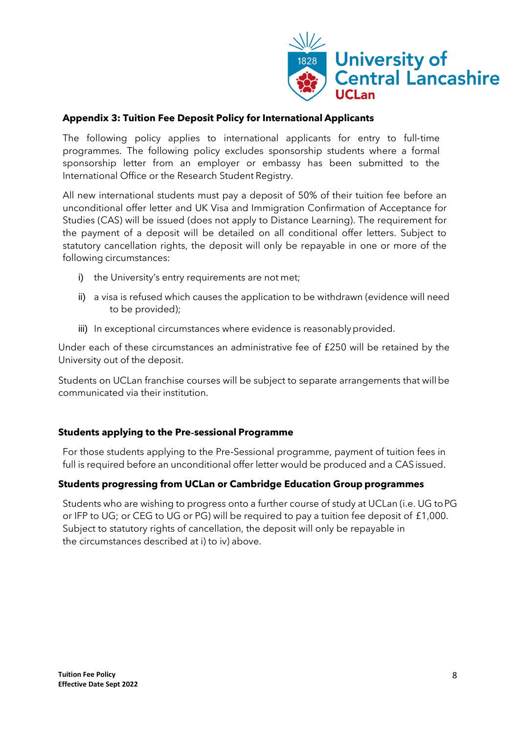

## **Appendix 3: Tuition Fee Deposit Policy for International Applicants**

The following policy applies to international applicants for entry to full‐time programmes. The following policy excludes sponsorship students where a formal sponsorship letter from an employer or embassy has been submitted to the International Office or the Research Student Registry.

All new international students must pay a deposit of 50% of their tuition fee before an unconditional offer letter and UK Visa and Immigration Confirmation of Acceptance for Studies (CAS) will be issued (does not apply to Distance Learning). The requirement for the payment of a deposit will be detailed on all conditional offer letters. Subject to statutory cancellation rights, the deposit will only be repayable in one or more of the following circumstances:

- i) the University's entry requirements are not met;
- ii) a visa is refused which causes the application to be withdrawn (evidence will need to be provided);
- iii) In exceptional circumstances where evidence is reasonably provided.

Under each of these circumstances an administrative fee of £250 will be retained by the University out of the deposit.

Students on UCLan franchise courses will be subject to separate arrangements that willbe communicated via their institution.

### **Students applying to the Pre**‐**sessional Programme**

For those students applying to the Pre‐Sessional programme, payment of tuition fees in full is required before an unconditional offer letter would be produced and a CAS issued.

### **Students progressing from UCLan or Cambridge Education Group programmes**

Students who are wishing to progress onto a further course of study at UCLan (i.e. UG toPG or IFP to UG; or CEG to UG or PG) will be required to pay a tuition fee deposit of £1,000. Subject to statutory rights of cancellation, the deposit will only be repayable in the circumstances described at i) to iv) above.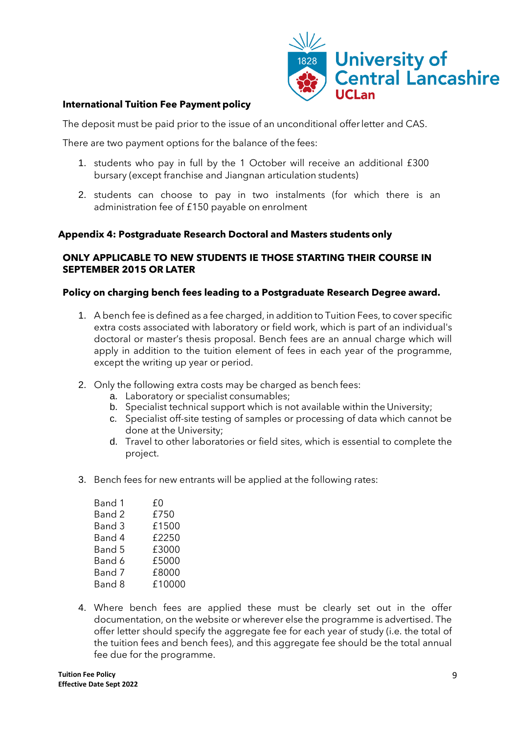

### **International Tuition Fee Payment policy**

The deposit must be paid prior to the issue of an unconditional offerletter and CAS.

There are two payment options for the balance of the fees:

- 1. students who pay in full by the 1 October will receive an additional £300 bursary (except franchise and Jiangnan articulation students)
- 2. students can choose to pay in two instalments (for which there is an administration fee of £150 payable on enrolment

### **Appendix 4: Postgraduate Research Doctoral and Masters students only**

### **ONLY APPLICABLE TO NEW STUDENTS IE THOSE STARTING THEIR COURSE IN SEPTEMBER 2015 OR LATER**

### **Policy on charging bench fees leading to a Postgraduate Research Degree award.**

- 1. A bench fee is defined as a fee charged, in addition to Tuition Fees, to cover specific extra costs associated with laboratory or field work, which is part of an individual's doctoral or master's thesis proposal. Bench fees are an annual charge which will apply in addition to the tuition element of fees in each year of the programme, except the writing up year or period.
- 2. Only the following extra costs may be charged as bench fees:
	- a. Laboratory or specialist consumables;
	- b. Specialist technical support which is not available within the University;
	- c. Specialist off-site testing of samples or processing of data which cannot be done at the University;
	- d. Travel to other laboratories or field sites, which is essential to complete the project.
- 3. Bench fees for new entrants will be applied at the following rates:

| Band 1 | £0     |
|--------|--------|
| Band 2 | £750   |
| Band 3 | £1500  |
| Band 4 | £2250  |
| Band 5 | £3000  |
| Band 6 | £5000  |
| Band 7 | £8000  |
| Band 8 | £10000 |
|        |        |

4. Where bench fees are applied these must be clearly set out in the offer documentation, on the website or wherever else the programme is advertised. The offer letter should specify the aggregate fee for each year of study (i.e. the total of the tuition fees and bench fees), and this aggregate fee should be the total annual fee due for the programme.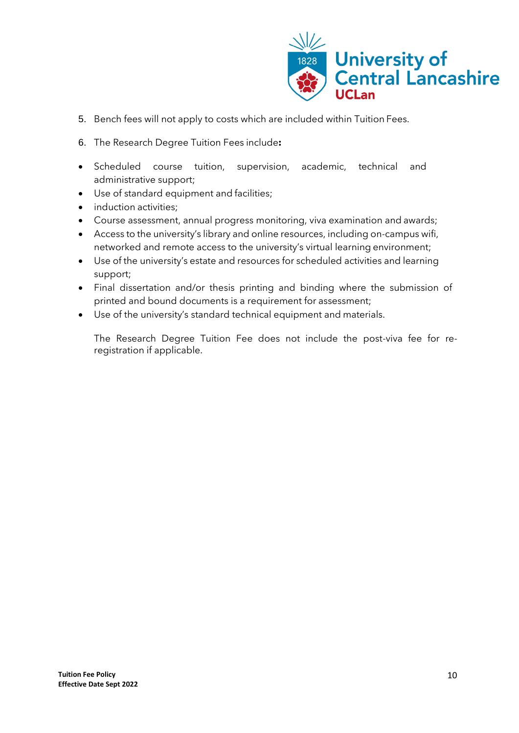

- 5. Bench fees will not apply to costs which are included within Tuition Fees.
- 6. The Research Degree Tuition Fees include**:**
- Scheduled course tuition, supervision, academic, technical and administrative support;
- Use of standard equipment and facilities;
- induction activities;
- Course assessment, annual progress monitoring, viva examination and awards;
- Access to the university's library and online resources, including on-campus wifi, networked and remote access to the university's virtual learning environment;
- Use of the university's estate and resources for scheduled activities and learning support;
- Final dissertation and/or thesis printing and binding where the submission of printed and bound documents is a requirement for assessment;
- Use of the university's standard technical equipment and materials.

The Research Degree Tuition Fee does not include the post-viva fee for reregistration if applicable.